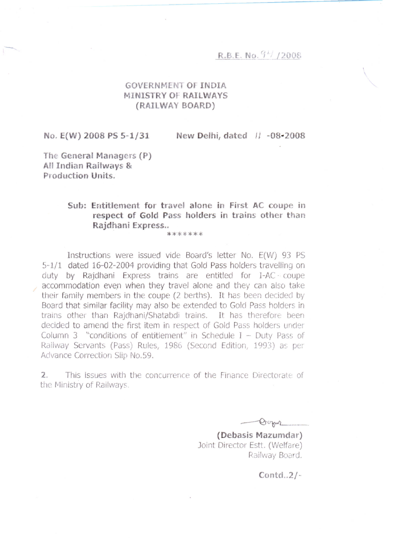## R.B.E. No.  $94/2008$

## **GOVERNMENT OF INDIA MINIST Y OF RAIL AYS (RAILWAY BOARD)**

No. E(W) 2008 PS 5-1/31

New Delhi, dated  $|| -08 - 2008$ 

**The General Managers (P) An Indian Railways & Production Units.** 

## **Sub: Entitlement for travel alone in First AC coupe in respect of Gold Pass holders in trains other than Rajdhani Express..**

\*\*\*\*\*\*\*

Instructions were issued vide Board's letter No. E(W) 93 PS 5-1/1 dated 16-02-2004 providing that Gold Pass holders travelling on duty by Rajdhani Express trains are entitled for l-AC·· coupe accommodation even when they travel alone and they can also take their family members in the coupe (2 berths). It has been decided by Board that similar facility may also be extended to Gold Pass holders in trains other than Rajdhani/Shatabdi trains. It has therefore been decided to amend the first item in respect of Gold Pass holders under Column 3  $"conditions of entitlement" in Schedule I - Duty Pass of$ Railway Servants (Pass) Rules, 1986 (Second Edition, 1993) as per Advance Correction Slip No.59.

2. This issues with the concurrence of the Finance Directorate of the Ministry of Railways

*..-Qr~--\_ ..-*

**(Debasis Mazumdar)** Joint Director Estt. (Welfare) Railway Board.

Contd.  $2/-$